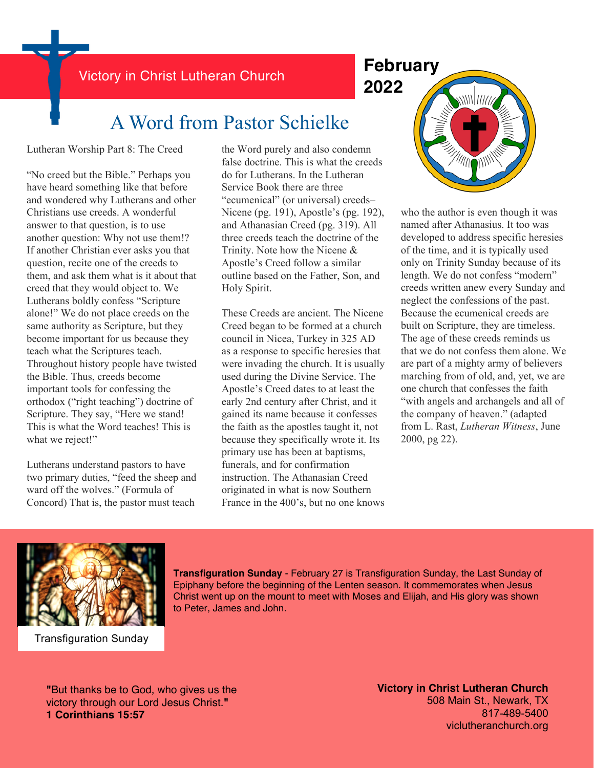Victory in Christ Lutheran Church **February**

# **2022**

## A Word from Pastor Schielke

Lutheran Worship Part 8: The Creed

"No creed but the Bible." Perhaps you have heard something like that before and wondered why Lutherans and other Christians use creeds. A wonderful answer to that question, is to use another question: Why not use them!? If another Christian ever asks you that question, recite one of the creeds to them, and ask them what is it about that creed that they would object to. We Lutherans boldly confess "Scripture alone!" We do not place creeds on the same authority as Scripture, but they become important for us because they teach what the Scriptures teach. Throughout history people have twisted the Bible. Thus, creeds become important tools for confessing the orthodox ("right teaching") doctrine of Scripture. They say, "Here we stand! This is what the Word teaches! This is what we reject!"

Lutherans understand pastors to have two primary duties, "feed the sheep and ward off the wolves." (Formula of Concord) That is, the pastor must teach

the Word purely and also condemn false doctrine. This is what the creeds do for Lutherans. In the Lutheran Service Book there are three "ecumenical" (or universal) creeds– Nicene (pg. 191), Apostle's (pg. 192), and Athanasian Creed (pg. 319). All three creeds teach the doctrine of the Trinity. Note how the Nicene & Apostle's Creed follow a similar outline based on the Father, Son, and Holy Spirit.

These Creeds are ancient. The Nicene Creed began to be formed at a church council in Nicea, Turkey in 325 AD as a response to specific heresies that were invading the church. It is usually used during the Divine Service. The Apostle's Creed dates to at least the early 2nd century after Christ, and it gained its name because it confesses the faith as the apostles taught it, not because they specifically wrote it. Its primary use has been at baptisms, funerals, and for confirmation instruction. The Athanasian Creed originated in what is now Southern France in the 400's, but no one knows



who the author is even though it was named after Athanasius. It too was developed to address specific heresies of the time, and it is typically used only on Trinity Sunday because of its length. We do not confess "modern" creeds written anew every Sunday and neglect the confessions of the past. Because the ecumenical creeds are built on Scripture, they are timeless. The age of these creeds reminds us that we do not confess them alone. We are part of a mighty army of believers marching from of old, and, yet, we are one church that confesses the faith "with angels and archangels and all of the company of heaven." (adapted from L. Rast, *Lutheran Witness*, June 2000, pg 22).



Transfiguration Sunday

**Transfiguration Sunday** - February 27 is Transfiguration Sunday, the Last Sunday of Epiphany before the beginning of the Lenten season. It commemorates when Jesus Christ went up on the mount to meet with Moses and Elijah, and His glory was shown to Peter, James and John.

**"**But thanks be to God, who gives us the victory through our Lord Jesus Christ.**" 1 Corinthians 15:57**

**Victory in Christ Lutheran Church** 508 Main St., Newark, TX 817-489-5400 viclutheranchurch.org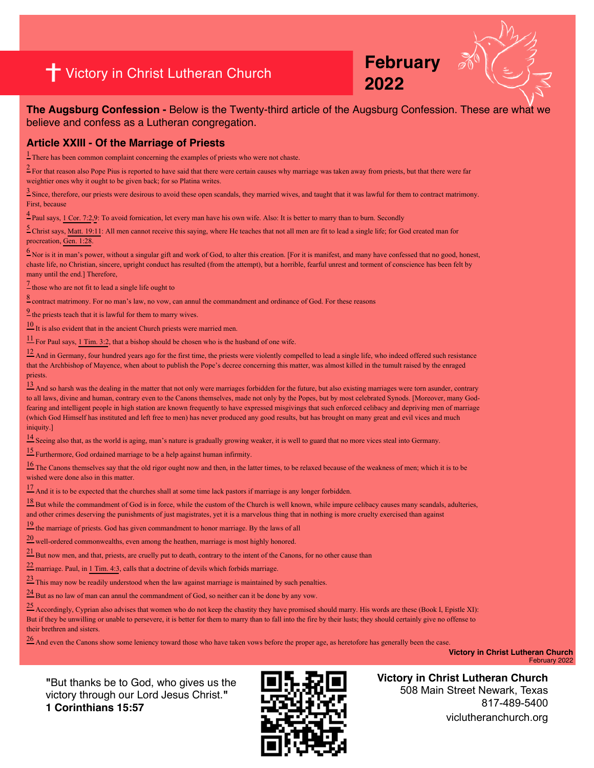## **<sup>2022</sup>** Victory in Christ Lutheran Church

**February** 



**The Augsburg Confession -** Below is the Twenty-third article of the Augsburg Confession. These are what we believe and confess as a Lutheran congregation.

#### **Article XXIII - Of the Marriage of Priests**

 $\frac{1}{2}$  There has been common complaint concerning the examples of priests who were not chaste.

 $2$  For that reason also Pope Pius is reported to have said that there were certain causes why marriage was taken away from priests, but that there were far weightier ones why it ought to be given back; for so Platina writes.

 $\frac{3}{2}$  Since, therefore, our priests were desirous to avoid these open scandals, they married wives, and taught that it was lawful for them to contract matrimony. First, because

<sup>4</sup> Paul says, [1 Cor. 7:2,](https://biblia.com/bible/esv/1%20Cor.%207.2%22%20%5Ct%20%22_blank)[9:](https://biblia.com/bible/esv/1%20Cor%207.9%22%20%5Ct%20%22_blank) To avoid fornication, let every man have his own wife. Also: It is better to marry than to burn. Secondly

[5 C](https://boc.confident.faith/ac-xxiii-0005%22%20%5Ct%20%22_blank)hrist says, [Matt. 19:11:](https://biblia.com/bible/esv/Matt.%2019.11%22%20%5Ct%20%22_blank) All men cannot receive this saying, where He teaches that not all men are fit to lead a single life; for God created man for procreation, [Gen. 1:28.](https://biblia.com/bible/esv/Gen.%201.28%22%20%5Ct%20%22_blank)

 $6$  Nor is it in man's power, without a singular gift and work of God, to alter this creation. [For it is manifest, and many have confessed that no good, honest, chaste life, no Christian, sincere, upright conduct has resulted (from the attempt), but a horrible, fearful unrest and torment of conscience has been felt by many until the end.] Therefore,

 $\frac{7}{2}$  those who are not fit to lead a single life ought to

[8 c](https://boc.confident.faith/ac-xxiii-0008%22%20%5Ct%20%22_blank)ontract matrimony. For no man's law, no vow, can annul the commandment and ordinance of God. For these reasons

 $\frac{9}{2}$  the priests teach that it is lawful for them to marry wives.

 $\frac{10}{11}$  It is also evident that in the ancient Church priests were married men.

 $\frac{11}{11}$  For Paul says, [1 Tim. 3:2](https://biblia.com/bible/esv/1%20Tim.%203.2%22%20%5Ct%20%22_blank), that a bishop should be chosen who is the husband of one wife.

 $12$  And in Germany, four hundred years ago for the first time, the priests were violently compelled to lead a single life, who indeed offered such resistance that the Archbishop of Mayence, when about to publish the Pope's decree concerning this matter, was almost killed in the tumult raised by the enraged priests.

 $\frac{13}{2}$  And so harsh was the dealing in the matter that not only were marriages forbidden for the future, but also existing marriages were torn asunder, contrary to all laws, divine and human, contrary even to the Canons themselves, made not only by the Popes, but by most celebrated Synods. [Moreover, many Godfearing and intelligent people in high station are known frequently to have expressed misgivings that such enforced celibacy and depriving men of marriage (which God Himself has instituted and left free to men) has never produced any good results, but has brought on many great and evil vices and much iniquity.<sup>1</sup>

<sup>14</sup> Seeing also that, as the world is aging, man's nature is gradually growing weaker, it is well to guard that no more vices steal into Germany.

[15 F](https://boc.confident.faith/ac-xxiii-0015%22%20%5Ct%20%22_blank)urthermore, God ordained marriage to be a help against human infirmity.

<sup>16</sup> The Canons themselves say that the old rigor ought now and then, in the latter times, to be relaxed because of the weakness of men; which it is to be wished were done also in this matter.

 $\frac{17}{2}$  And it is to be expected that the churches shall at some time lack pastors if marriage is any longer forbidden.

 $\frac{18}{18}$  But while the commandment of God is in force, while the custom of the Church is well known, while impure celibacy causes many scandals, adulteries, and other crimes deserving the punishments of just magistrates, yet it is a marvelous thing that in nothing is more cruelty exercised than against

 $\frac{19}{2}$  the marriage of priests. God has given commandment to honor marriage. By the laws of all

[20 w](https://boc.confident.faith/ac-xxiii-0020%22%20%5Ct%20%22_blank)ell-ordered commonwealths, even among the heathen, marriage is most highly honored.

<sup>21</sup> But now men, and that, priests, are cruelly put to death, contrary to the intent of the Canons, for no other cause than

 $\frac{22}{2}$  marriage. Paul, in [1 Tim. 4:3](https://biblia.com/bible/esv/1%20Tim.%204.3%22%20%5Ct%20%22_blank), calls that a doctrine of devils which forbids marriage.

[23 T](https://boc.confident.faith/ac-xxiii-0023%22%20%5Ct%20%22_blank)his may now be readily understood when the law against marriage is maintained by such penalties.

 $\frac{24}{1}$  But as no law of man can annul the commandment of God, so neither can it be done by any vow.

[25 A](https://boc.confident.faith/ac-xxiii-0025%22%20%5Ct%20%22_blank)ccordingly, Cyprian also advises that women who do not keep the chastity they have promised should marry. His words are these (Book I, Epistle XI): But if they be unwilling or unable to persevere, it is better for them to marry than to fall into the fire by their lusts; they should certainly give no offense to their brethren and sisters.

[26 A](https://boc.confident.faith/ac-xxiii-0026%22%20%5Ct%20%22_blank)nd even the Canons show some leniency toward those who have taken vows before the proper age, as heretofore has generally been the case.

**Victory in Christ Lutheran Church**  February 2022

**"**But thanks be to God, who gives us the victory through our Lord Jesus Christ.**" 1 Corinthians 15:57**



**Victory in Christ Lutheran Church** 508 Main Street Newark, Texas 817-489-5400 viclutheranchurch.org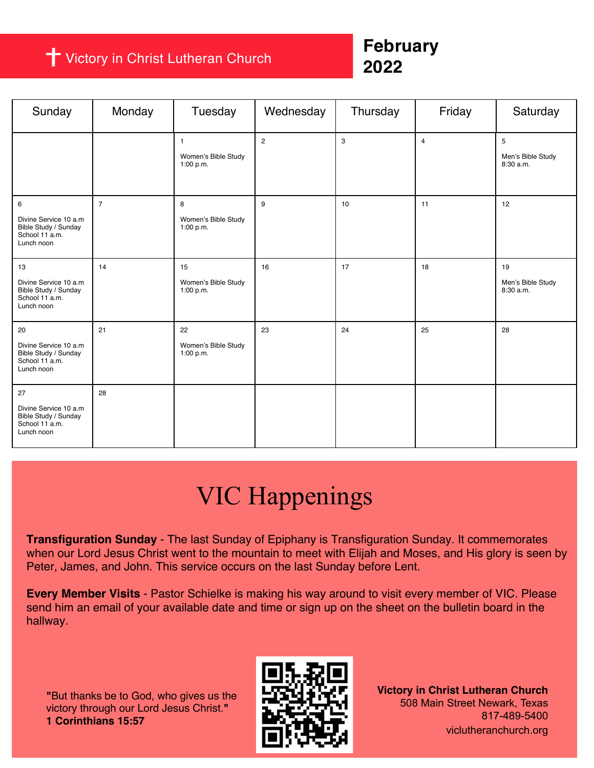### Victory in Christ Lutheran Church

### **February 2022**

| Sunday                                                                              | Monday         | Tuesday                                          | Wednesday      | Thursday | Friday                  | Saturday                             |
|-------------------------------------------------------------------------------------|----------------|--------------------------------------------------|----------------|----------|-------------------------|--------------------------------------|
|                                                                                     |                | $\mathbf{1}$<br>Women's Bible Study<br>1:00 p.m. | $\overline{2}$ | 3        | $\overline{\mathbf{4}}$ | 5<br>Men's Bible Study<br>8:30 a.m.  |
| 6<br>Divine Service 10 a.m<br>Bible Study / Sunday<br>School 11 a.m.<br>Lunch noon  | $\overline{7}$ | 8<br>Women's Bible Study<br>1:00 p.m.            | 9              | 10       | 11                      | 12                                   |
| 13<br>Divine Service 10 a.m<br>Bible Study / Sunday<br>School 11 a.m.<br>Lunch noon | 14             | 15<br>Women's Bible Study<br>1:00 p.m.           | 16             | 17       | 18                      | 19<br>Men's Bible Study<br>8:30 a.m. |
| 20<br>Divine Service 10 a.m<br>Bible Study / Sunday<br>School 11 a.m.<br>Lunch noon | 21             | 22<br>Women's Bible Study<br>1:00 p.m.           | 23             | 24       | 25                      | 28                                   |
| 27<br>Divine Service 10 a.m<br>Bible Study / Sunday<br>School 11 a.m.<br>Lunch noon | 28             |                                                  |                |          |                         |                                      |

## VIC Happenings

**Transfiguration Sunday** - The last Sunday of Epiphany is Transfiguration Sunday. It commemorates when our Lord Jesus Christ went to the mountain to meet with Elijah and Moses, and His glory is seen by Peter, James, and John. This service occurs on the last Sunday before Lent.

**Every Member Visits** - Pastor Schielke is making his way around to visit every member of VIC. Please send him an email of your available date and time or sign up on the sheet on the bulletin board in the hallway.

**"**But thanks be to God, who gives us the victory through our Lord Jesus Christ.**" 1 Corinthians 15:57**



**Victory in Christ Lutheran Church** 508 Main Street Newark, Texas 817-489-5400 viclutheranchurch.org